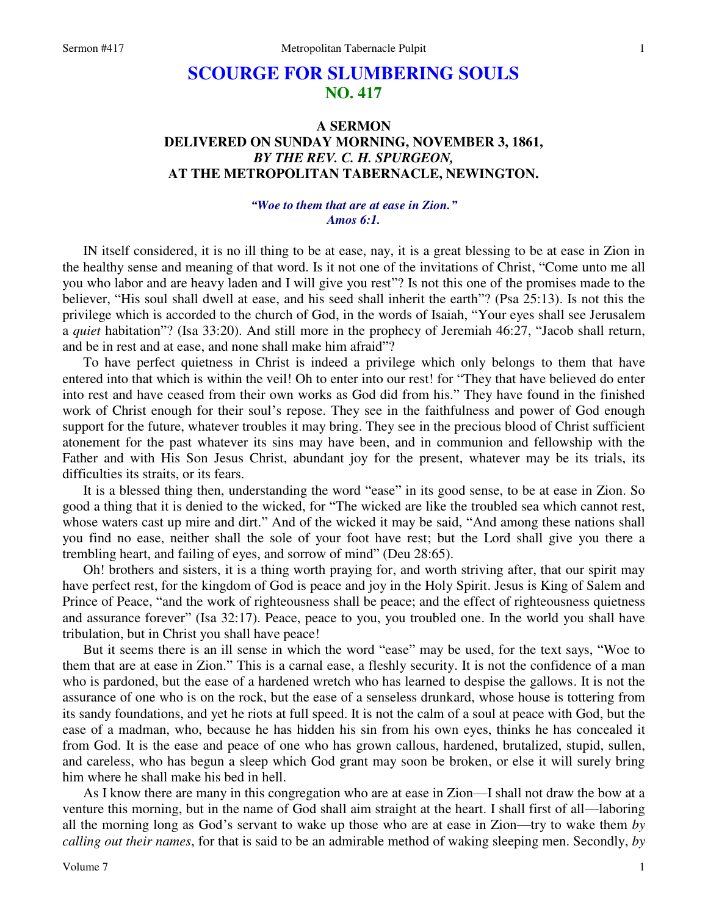# **SCOURGE FOR SLUMBERING SOULS NO. 417**

## **A SERMON DELIVERED ON SUNDAY MORNING, NOVEMBER 3, 1861,**  *BY THE REV. C. H. SPURGEON,*  **AT THE METROPOLITAN TABERNACLE, NEWINGTON.**

#### *"Woe to them that are at ease in Zion." Amos 6:1.*

IN itself considered, it is no ill thing to be at ease, nay, it is a great blessing to be at ease in Zion in the healthy sense and meaning of that word. Is it not one of the invitations of Christ, "Come unto me all you who labor and are heavy laden and I will give you rest"? Is not this one of the promises made to the believer, "His soul shall dwell at ease, and his seed shall inherit the earth"? (Psa 25:13). Is not this the privilege which is accorded to the church of God, in the words of Isaiah, "Your eyes shall see Jerusalem a *quiet* habitation"? (Isa 33:20). And still more in the prophecy of Jeremiah 46:27, "Jacob shall return, and be in rest and at ease, and none shall make him afraid"?

To have perfect quietness in Christ is indeed a privilege which only belongs to them that have entered into that which is within the veil! Oh to enter into our rest! for "They that have believed do enter into rest and have ceased from their own works as God did from his." They have found in the finished work of Christ enough for their soul's repose. They see in the faithfulness and power of God enough support for the future, whatever troubles it may bring. They see in the precious blood of Christ sufficient atonement for the past whatever its sins may have been, and in communion and fellowship with the Father and with His Son Jesus Christ, abundant joy for the present, whatever may be its trials, its difficulties its straits, or its fears.

It is a blessed thing then, understanding the word "ease" in its good sense, to be at ease in Zion. So good a thing that it is denied to the wicked, for "The wicked are like the troubled sea which cannot rest, whose waters cast up mire and dirt." And of the wicked it may be said, "And among these nations shall you find no ease, neither shall the sole of your foot have rest; but the Lord shall give you there a trembling heart, and failing of eyes, and sorrow of mind" (Deu 28:65).

Oh! brothers and sisters, it is a thing worth praying for, and worth striving after, that our spirit may have perfect rest, for the kingdom of God is peace and joy in the Holy Spirit. Jesus is King of Salem and Prince of Peace, "and the work of righteousness shall be peace; and the effect of righteousness quietness and assurance forever" (Isa 32:17). Peace, peace to you, you troubled one. In the world you shall have tribulation, but in Christ you shall have peace!

But it seems there is an ill sense in which the word "ease" may be used, for the text says, "Woe to them that are at ease in Zion." This is a carnal ease, a fleshly security. It is not the confidence of a man who is pardoned, but the ease of a hardened wretch who has learned to despise the gallows. It is not the assurance of one who is on the rock, but the ease of a senseless drunkard, whose house is tottering from its sandy foundations, and yet he riots at full speed. It is not the calm of a soul at peace with God, but the ease of a madman, who, because he has hidden his sin from his own eyes, thinks he has concealed it from God. It is the ease and peace of one who has grown callous, hardened, brutalized, stupid, sullen, and careless, who has begun a sleep which God grant may soon be broken, or else it will surely bring him where he shall make his bed in hell.

As I know there are many in this congregation who are at ease in Zion—I shall not draw the bow at a venture this morning, but in the name of God shall aim straight at the heart. I shall first of all—laboring all the morning long as God's servant to wake up those who are at ease in Zion—try to wake them *by calling out their names*, for that is said to be an admirable method of waking sleeping men. Secondly, *by*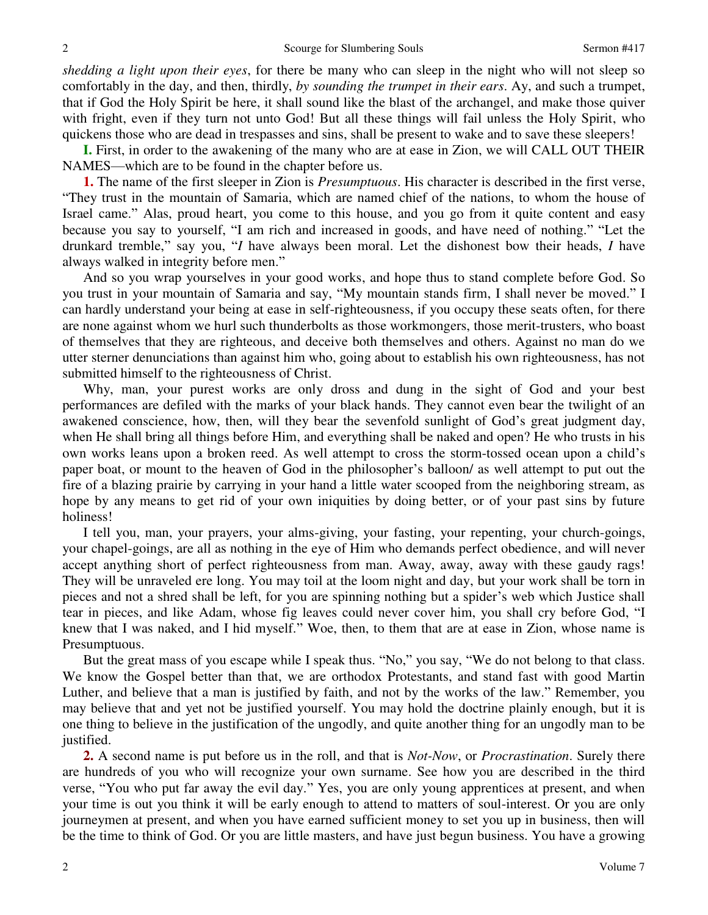*shedding a light upon their eyes*, for there be many who can sleep in the night who will not sleep so comfortably in the day, and then, thirdly, *by sounding the trumpet in their ears*. Ay, and such a trumpet, that if God the Holy Spirit be here, it shall sound like the blast of the archangel, and make those quiver with fright, even if they turn not unto God! But all these things will fail unless the Holy Spirit, who quickens those who are dead in trespasses and sins, shall be present to wake and to save these sleepers!

**I.** First, in order to the awakening of the many who are at ease in Zion, we will CALL OUT THEIR NAMES—which are to be found in the chapter before us.

**1.** The name of the first sleeper in Zion is *Presumptuous*. His character is described in the first verse, "They trust in the mountain of Samaria, which are named chief of the nations, to whom the house of Israel came." Alas, proud heart, you come to this house, and you go from it quite content and easy because you say to yourself, "I am rich and increased in goods, and have need of nothing." "Let the drunkard tremble," say you, "*I* have always been moral. Let the dishonest bow their heads, *I* have always walked in integrity before men."

And so you wrap yourselves in your good works, and hope thus to stand complete before God. So you trust in your mountain of Samaria and say, "My mountain stands firm, I shall never be moved." I can hardly understand your being at ease in self-righteousness, if you occupy these seats often, for there are none against whom we hurl such thunderbolts as those workmongers, those merit-trusters, who boast of themselves that they are righteous, and deceive both themselves and others. Against no man do we utter sterner denunciations than against him who, going about to establish his own righteousness, has not submitted himself to the righteousness of Christ.

Why, man, your purest works are only dross and dung in the sight of God and your best performances are defiled with the marks of your black hands. They cannot even bear the twilight of an awakened conscience, how, then, will they bear the sevenfold sunlight of God's great judgment day, when He shall bring all things before Him, and everything shall be naked and open? He who trusts in his own works leans upon a broken reed. As well attempt to cross the storm-tossed ocean upon a child's paper boat, or mount to the heaven of God in the philosopher's balloon/ as well attempt to put out the fire of a blazing prairie by carrying in your hand a little water scooped from the neighboring stream, as hope by any means to get rid of your own iniquities by doing better, or of your past sins by future holiness!

I tell you, man, your prayers, your alms-giving, your fasting, your repenting, your church-goings, your chapel-goings, are all as nothing in the eye of Him who demands perfect obedience, and will never accept anything short of perfect righteousness from man. Away, away, away with these gaudy rags! They will be unraveled ere long. You may toil at the loom night and day, but your work shall be torn in pieces and not a shred shall be left, for you are spinning nothing but a spider's web which Justice shall tear in pieces, and like Adam, whose fig leaves could never cover him, you shall cry before God, "I knew that I was naked, and I hid myself." Woe, then, to them that are at ease in Zion, whose name is Presumptuous.

But the great mass of you escape while I speak thus. "No," you say, "We do not belong to that class. We know the Gospel better than that, we are orthodox Protestants, and stand fast with good Martin Luther, and believe that a man is justified by faith, and not by the works of the law." Remember, you may believe that and yet not be justified yourself. You may hold the doctrine plainly enough, but it is one thing to believe in the justification of the ungodly, and quite another thing for an ungodly man to be justified.

**2.** A second name is put before us in the roll, and that is *Not-Now*, or *Procrastination*. Surely there are hundreds of you who will recognize your own surname. See how you are described in the third verse, "You who put far away the evil day." Yes, you are only young apprentices at present, and when your time is out you think it will be early enough to attend to matters of soul-interest. Or you are only journeymen at present, and when you have earned sufficient money to set you up in business, then will be the time to think of God. Or you are little masters, and have just begun business. You have a growing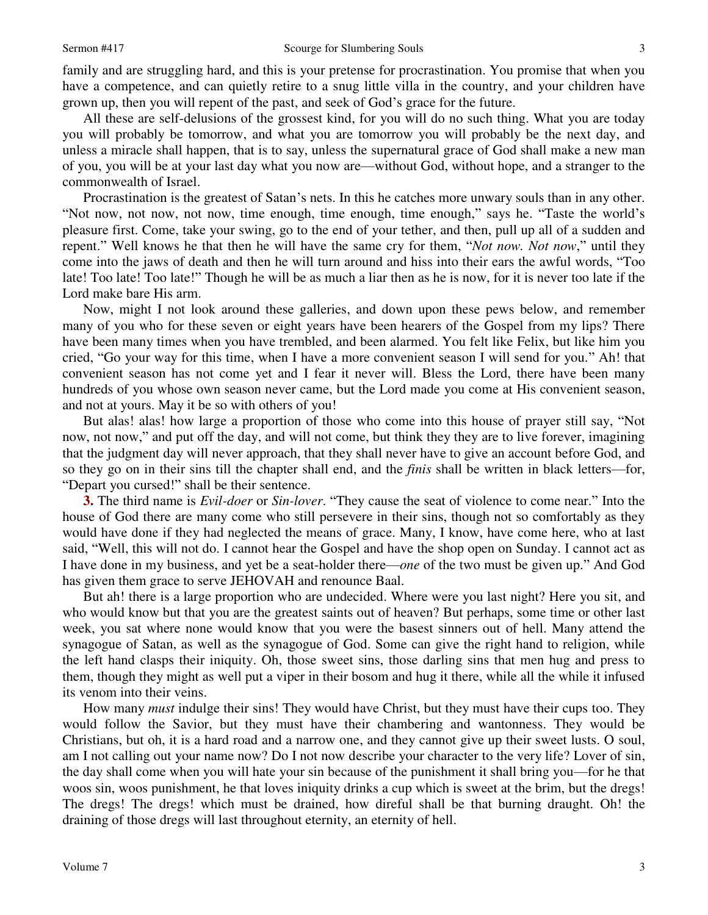family and are struggling hard, and this is your pretense for procrastination. You promise that when you have a competence, and can quietly retire to a snug little villa in the country, and your children have grown up, then you will repent of the past, and seek of God's grace for the future.

All these are self-delusions of the grossest kind, for you will do no such thing. What you are today you will probably be tomorrow, and what you are tomorrow you will probably be the next day, and unless a miracle shall happen, that is to say, unless the supernatural grace of God shall make a new man of you, you will be at your last day what you now are—without God, without hope, and a stranger to the commonwealth of Israel.

Procrastination is the greatest of Satan's nets. In this he catches more unwary souls than in any other. "Not now, not now, not now, time enough, time enough, time enough," says he. "Taste the world's pleasure first. Come, take your swing, go to the end of your tether, and then, pull up all of a sudden and repent." Well knows he that then he will have the same cry for them, "*Not now. Not now*," until they come into the jaws of death and then he will turn around and hiss into their ears the awful words, "Too late! Too late! Too late!" Though he will be as much a liar then as he is now, for it is never too late if the Lord make bare His arm.

Now, might I not look around these galleries, and down upon these pews below, and remember many of you who for these seven or eight years have been hearers of the Gospel from my lips? There have been many times when you have trembled, and been alarmed. You felt like Felix, but like him you cried, "Go your way for this time, when I have a more convenient season I will send for you." Ah! that convenient season has not come yet and I fear it never will. Bless the Lord, there have been many hundreds of you whose own season never came, but the Lord made you come at His convenient season, and not at yours. May it be so with others of you!

But alas! alas! how large a proportion of those who come into this house of prayer still say, "Not now, not now," and put off the day, and will not come, but think they they are to live forever, imagining that the judgment day will never approach, that they shall never have to give an account before God, and so they go on in their sins till the chapter shall end, and the *finis* shall be written in black letters—for, "Depart you cursed!" shall be their sentence.

**3.** The third name is *Evil-doer* or *Sin-lover*. "They cause the seat of violence to come near." Into the house of God there are many come who still persevere in their sins, though not so comfortably as they would have done if they had neglected the means of grace. Many, I know, have come here, who at last said, "Well, this will not do. I cannot hear the Gospel and have the shop open on Sunday. I cannot act as I have done in my business, and yet be a seat-holder there—*one* of the two must be given up." And God has given them grace to serve JEHOVAH and renounce Baal.

But ah! there is a large proportion who are undecided. Where were you last night? Here you sit, and who would know but that you are the greatest saints out of heaven? But perhaps, some time or other last week, you sat where none would know that you were the basest sinners out of hell. Many attend the synagogue of Satan, as well as the synagogue of God. Some can give the right hand to religion, while the left hand clasps their iniquity. Oh, those sweet sins, those darling sins that men hug and press to them, though they might as well put a viper in their bosom and hug it there, while all the while it infused its venom into their veins.

How many *must* indulge their sins! They would have Christ, but they must have their cups too. They would follow the Savior, but they must have their chambering and wantonness. They would be Christians, but oh, it is a hard road and a narrow one, and they cannot give up their sweet lusts. O soul, am I not calling out your name now? Do I not now describe your character to the very life? Lover of sin, the day shall come when you will hate your sin because of the punishment it shall bring you—for he that woos sin, woos punishment, he that loves iniquity drinks a cup which is sweet at the brim, but the dregs! The dregs! The dregs! which must be drained, how direful shall be that burning draught. Oh! the draining of those dregs will last throughout eternity, an eternity of hell.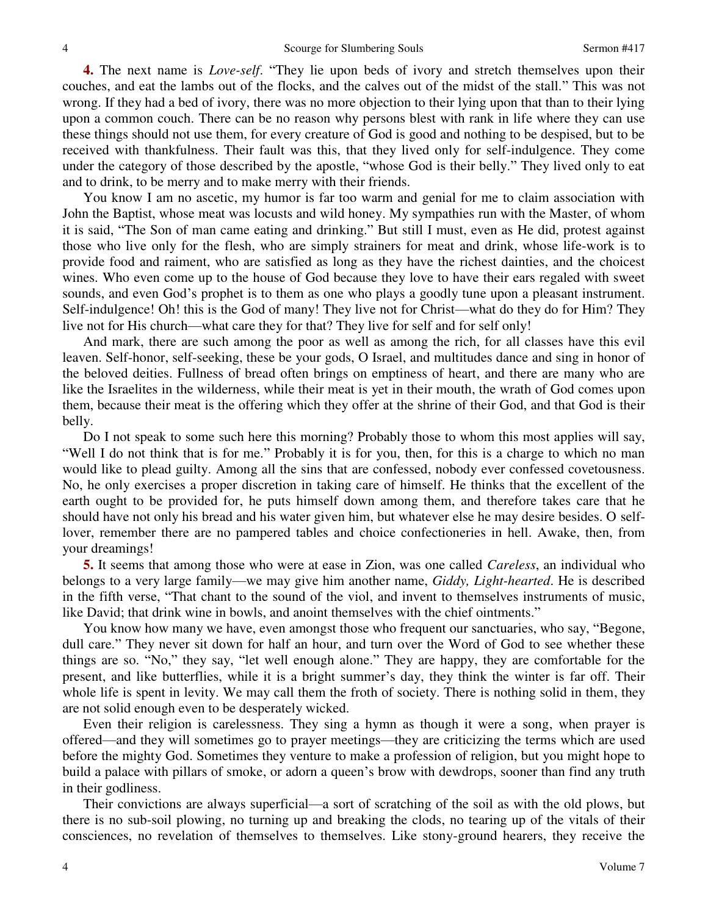**4.** The next name is *Love-self*. "They lie upon beds of ivory and stretch themselves upon their couches, and eat the lambs out of the flocks, and the calves out of the midst of the stall." This was not wrong. If they had a bed of ivory, there was no more objection to their lying upon that than to their lying upon a common couch. There can be no reason why persons blest with rank in life where they can use these things should not use them, for every creature of God is good and nothing to be despised, but to be received with thankfulness. Their fault was this, that they lived only for self-indulgence. They come under the category of those described by the apostle, "whose God is their belly." They lived only to eat and to drink, to be merry and to make merry with their friends.

You know I am no ascetic, my humor is far too warm and genial for me to claim association with John the Baptist, whose meat was locusts and wild honey. My sympathies run with the Master, of whom it is said, "The Son of man came eating and drinking." But still I must, even as He did, protest against those who live only for the flesh, who are simply strainers for meat and drink, whose life-work is to provide food and raiment, who are satisfied as long as they have the richest dainties, and the choicest wines. Who even come up to the house of God because they love to have their ears regaled with sweet sounds, and even God's prophet is to them as one who plays a goodly tune upon a pleasant instrument. Self-indulgence! Oh! this is the God of many! They live not for Christ—what do they do for Him? They live not for His church—what care they for that? They live for self and for self only!

And mark, there are such among the poor as well as among the rich, for all classes have this evil leaven. Self-honor, self-seeking, these be your gods, O Israel, and multitudes dance and sing in honor of the beloved deities. Fullness of bread often brings on emptiness of heart, and there are many who are like the Israelites in the wilderness, while their meat is yet in their mouth, the wrath of God comes upon them, because their meat is the offering which they offer at the shrine of their God, and that God is their belly.

Do I not speak to some such here this morning? Probably those to whom this most applies will say, "Well I do not think that is for me." Probably it is for you, then, for this is a charge to which no man would like to plead guilty. Among all the sins that are confessed, nobody ever confessed covetousness. No, he only exercises a proper discretion in taking care of himself. He thinks that the excellent of the earth ought to be provided for, he puts himself down among them, and therefore takes care that he should have not only his bread and his water given him, but whatever else he may desire besides. O selflover, remember there are no pampered tables and choice confectioneries in hell. Awake, then, from your dreamings!

**5.** It seems that among those who were at ease in Zion, was one called *Careless*, an individual who belongs to a very large family—we may give him another name, *Giddy, Light-hearted*. He is described in the fifth verse, "That chant to the sound of the viol, and invent to themselves instruments of music, like David; that drink wine in bowls, and anoint themselves with the chief ointments."

You know how many we have, even amongst those who frequent our sanctuaries, who say, "Begone, dull care." They never sit down for half an hour, and turn over the Word of God to see whether these things are so. "No," they say, "let well enough alone." They are happy, they are comfortable for the present, and like butterflies, while it is a bright summer's day, they think the winter is far off. Their whole life is spent in levity. We may call them the froth of society. There is nothing solid in them, they are not solid enough even to be desperately wicked.

Even their religion is carelessness. They sing a hymn as though it were a song, when prayer is offered—and they will sometimes go to prayer meetings—they are criticizing the terms which are used before the mighty God. Sometimes they venture to make a profession of religion, but you might hope to build a palace with pillars of smoke, or adorn a queen's brow with dewdrops, sooner than find any truth in their godliness.

Their convictions are always superficial—a sort of scratching of the soil as with the old plows, but there is no sub-soil plowing, no turning up and breaking the clods, no tearing up of the vitals of their consciences, no revelation of themselves to themselves. Like stony-ground hearers, they receive the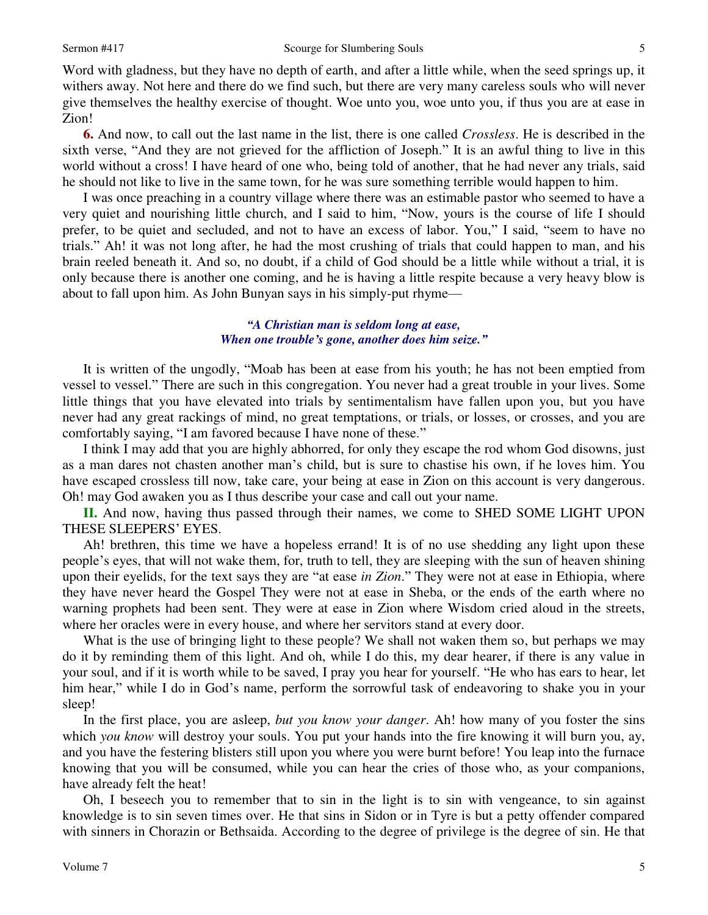Word with gladness, but they have no depth of earth, and after a little while, when the seed springs up, it withers away. Not here and there do we find such, but there are very many careless souls who will never give themselves the healthy exercise of thought. Woe unto you, woe unto you, if thus you are at ease in Zion!

**6.** And now, to call out the last name in the list, there is one called *Crossless*. He is described in the sixth verse, "And they are not grieved for the affliction of Joseph." It is an awful thing to live in this world without a cross! I have heard of one who, being told of another, that he had never any trials, said he should not like to live in the same town, for he was sure something terrible would happen to him.

I was once preaching in a country village where there was an estimable pastor who seemed to have a very quiet and nourishing little church, and I said to him, "Now, yours is the course of life I should prefer, to be quiet and secluded, and not to have an excess of labor. You," I said, "seem to have no trials." Ah! it was not long after, he had the most crushing of trials that could happen to man, and his brain reeled beneath it. And so, no doubt, if a child of God should be a little while without a trial, it is only because there is another one coming, and he is having a little respite because a very heavy blow is about to fall upon him. As John Bunyan says in his simply-put rhyme—

### *"A Christian man is seldom long at ease, When one trouble's gone, another does him seize."*

It is written of the ungodly, "Moab has been at ease from his youth; he has not been emptied from vessel to vessel." There are such in this congregation. You never had a great trouble in your lives. Some little things that you have elevated into trials by sentimentalism have fallen upon you, but you have never had any great rackings of mind, no great temptations, or trials, or losses, or crosses, and you are comfortably saying, "I am favored because I have none of these."

I think I may add that you are highly abhorred, for only they escape the rod whom God disowns, just as a man dares not chasten another man's child, but is sure to chastise his own, if he loves him. You have escaped crossless till now, take care, your being at ease in Zion on this account is very dangerous. Oh! may God awaken you as I thus describe your case and call out your name.

**II.** And now, having thus passed through their names, we come to SHED SOME LIGHT UPON THESE SLEEPERS' EYES.

Ah! brethren, this time we have a hopeless errand! It is of no use shedding any light upon these people's eyes, that will not wake them, for, truth to tell, they are sleeping with the sun of heaven shining upon their eyelids, for the text says they are "at ease *in Zion*." They were not at ease in Ethiopia, where they have never heard the Gospel They were not at ease in Sheba, or the ends of the earth where no warning prophets had been sent. They were at ease in Zion where Wisdom cried aloud in the streets, where her oracles were in every house, and where her servitors stand at every door.

What is the use of bringing light to these people? We shall not waken them so, but perhaps we may do it by reminding them of this light. And oh, while I do this, my dear hearer, if there is any value in your soul, and if it is worth while to be saved, I pray you hear for yourself. "He who has ears to hear, let him hear," while I do in God's name, perform the sorrowful task of endeavoring to shake you in your sleep!

In the first place, you are asleep, *but you know your danger*. Ah! how many of you foster the sins which *you know* will destroy your souls. You put your hands into the fire knowing it will burn you, ay, and you have the festering blisters still upon you where you were burnt before! You leap into the furnace knowing that you will be consumed, while you can hear the cries of those who, as your companions, have already felt the heat!

Oh, I beseech you to remember that to sin in the light is to sin with vengeance, to sin against knowledge is to sin seven times over. He that sins in Sidon or in Tyre is but a petty offender compared with sinners in Chorazin or Bethsaida. According to the degree of privilege is the degree of sin. He that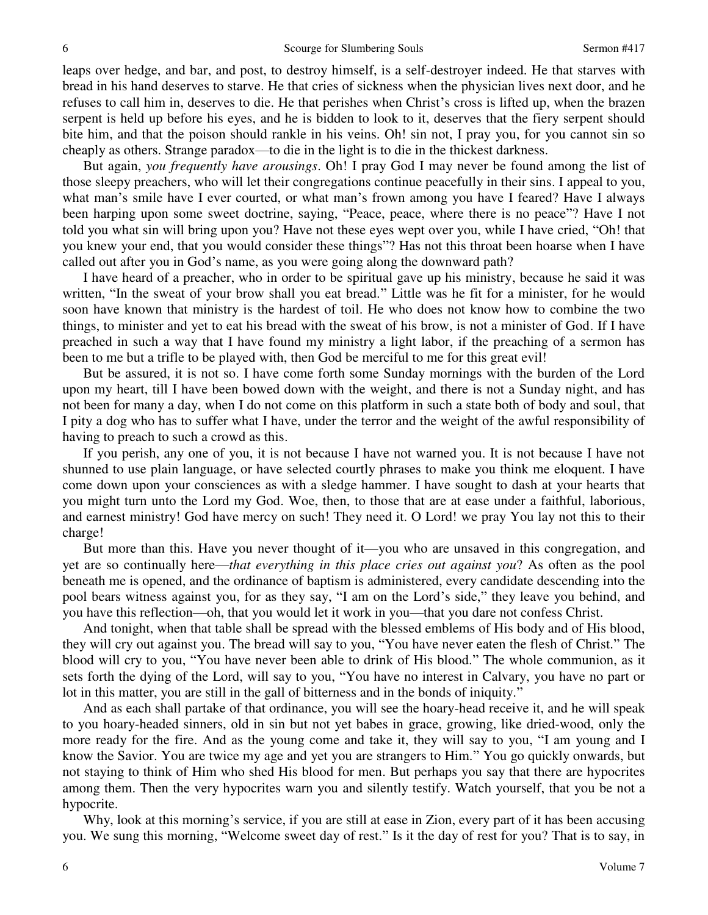leaps over hedge, and bar, and post, to destroy himself, is a self-destroyer indeed. He that starves with bread in his hand deserves to starve. He that cries of sickness when the physician lives next door, and he refuses to call him in, deserves to die. He that perishes when Christ's cross is lifted up, when the brazen serpent is held up before his eyes, and he is bidden to look to it, deserves that the fiery serpent should bite him, and that the poison should rankle in his veins. Oh! sin not, I pray you, for you cannot sin so cheaply as others. Strange paradox—to die in the light is to die in the thickest darkness.

But again, *you frequently have arousings*. Oh! I pray God I may never be found among the list of those sleepy preachers, who will let their congregations continue peacefully in their sins. I appeal to you, what man's smile have I ever courted, or what man's frown among you have I feared? Have I always been harping upon some sweet doctrine, saying, "Peace, peace, where there is no peace"? Have I not told you what sin will bring upon you? Have not these eyes wept over you, while I have cried, "Oh! that you knew your end, that you would consider these things"? Has not this throat been hoarse when I have called out after you in God's name, as you were going along the downward path?

I have heard of a preacher, who in order to be spiritual gave up his ministry, because he said it was written, "In the sweat of your brow shall you eat bread." Little was he fit for a minister, for he would soon have known that ministry is the hardest of toil. He who does not know how to combine the two things, to minister and yet to eat his bread with the sweat of his brow, is not a minister of God. If I have preached in such a way that I have found my ministry a light labor, if the preaching of a sermon has been to me but a trifle to be played with, then God be merciful to me for this great evil!

But be assured, it is not so. I have come forth some Sunday mornings with the burden of the Lord upon my heart, till I have been bowed down with the weight, and there is not a Sunday night, and has not been for many a day, when I do not come on this platform in such a state both of body and soul, that I pity a dog who has to suffer what I have, under the terror and the weight of the awful responsibility of having to preach to such a crowd as this.

If you perish, any one of you, it is not because I have not warned you. It is not because I have not shunned to use plain language, or have selected courtly phrases to make you think me eloquent. I have come down upon your consciences as with a sledge hammer. I have sought to dash at your hearts that you might turn unto the Lord my God. Woe, then, to those that are at ease under a faithful, laborious, and earnest ministry! God have mercy on such! They need it. O Lord! we pray You lay not this to their charge!

But more than this. Have you never thought of it—you who are unsaved in this congregation, and yet are so continually here—*that everything in this place cries out against you*? As often as the pool beneath me is opened, and the ordinance of baptism is administered, every candidate descending into the pool bears witness against you, for as they say, "I am on the Lord's side," they leave you behind, and you have this reflection—oh, that you would let it work in you—that you dare not confess Christ.

And tonight, when that table shall be spread with the blessed emblems of His body and of His blood, they will cry out against you. The bread will say to you, "You have never eaten the flesh of Christ." The blood will cry to you, "You have never been able to drink of His blood." The whole communion, as it sets forth the dying of the Lord, will say to you, "You have no interest in Calvary, you have no part or lot in this matter, you are still in the gall of bitterness and in the bonds of iniquity."

And as each shall partake of that ordinance, you will see the hoary-head receive it, and he will speak to you hoary-headed sinners, old in sin but not yet babes in grace, growing, like dried-wood, only the more ready for the fire. And as the young come and take it, they will say to you, "I am young and I know the Savior. You are twice my age and yet you are strangers to Him." You go quickly onwards, but not staying to think of Him who shed His blood for men. But perhaps you say that there are hypocrites among them. Then the very hypocrites warn you and silently testify. Watch yourself, that you be not a hypocrite.

Why, look at this morning's service, if you are still at ease in Zion, every part of it has been accusing you. We sung this morning, "Welcome sweet day of rest." Is it the day of rest for you? That is to say, in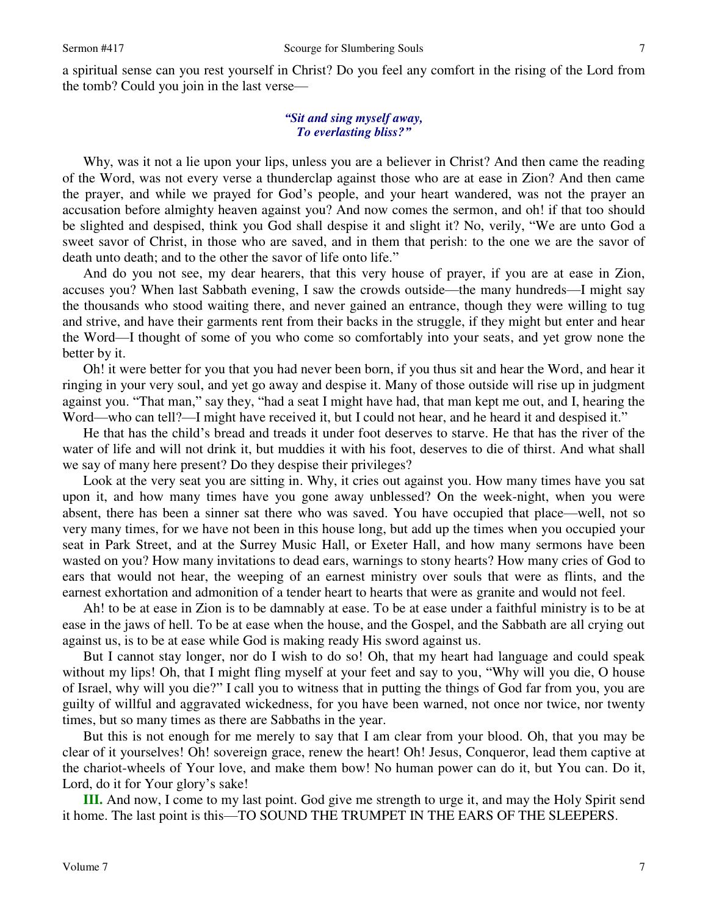a spiritual sense can you rest yourself in Christ? Do you feel any comfort in the rising of the Lord from the tomb? Could you join in the last verse—

#### *"Sit and sing myself away, To everlasting bliss?"*

Why, was it not a lie upon your lips, unless you are a believer in Christ? And then came the reading of the Word, was not every verse a thunderclap against those who are at ease in Zion? And then came the prayer, and while we prayed for God's people, and your heart wandered, was not the prayer an accusation before almighty heaven against you? And now comes the sermon, and oh! if that too should be slighted and despised, think you God shall despise it and slight it? No, verily, "We are unto God a sweet savor of Christ, in those who are saved, and in them that perish: to the one we are the savor of death unto death; and to the other the savor of life onto life."

And do you not see, my dear hearers, that this very house of prayer, if you are at ease in Zion, accuses you? When last Sabbath evening, I saw the crowds outside—the many hundreds—I might say the thousands who stood waiting there, and never gained an entrance, though they were willing to tug and strive, and have their garments rent from their backs in the struggle, if they might but enter and hear the Word—I thought of some of you who come so comfortably into your seats, and yet grow none the better by it.

Oh! it were better for you that you had never been born, if you thus sit and hear the Word, and hear it ringing in your very soul, and yet go away and despise it. Many of those outside will rise up in judgment against you. "That man," say they, "had a seat I might have had, that man kept me out, and I, hearing the Word—who can tell?—I might have received it, but I could not hear, and he heard it and despised it."

He that has the child's bread and treads it under foot deserves to starve. He that has the river of the water of life and will not drink it, but muddies it with his foot, deserves to die of thirst. And what shall we say of many here present? Do they despise their privileges?

Look at the very seat you are sitting in. Why, it cries out against you. How many times have you sat upon it, and how many times have you gone away unblessed? On the week-night, when you were absent, there has been a sinner sat there who was saved. You have occupied that place—well, not so very many times, for we have not been in this house long, but add up the times when you occupied your seat in Park Street, and at the Surrey Music Hall, or Exeter Hall, and how many sermons have been wasted on you? How many invitations to dead ears, warnings to stony hearts? How many cries of God to ears that would not hear, the weeping of an earnest ministry over souls that were as flints, and the earnest exhortation and admonition of a tender heart to hearts that were as granite and would not feel.

Ah! to be at ease in Zion is to be damnably at ease. To be at ease under a faithful ministry is to be at ease in the jaws of hell. To be at ease when the house, and the Gospel, and the Sabbath are all crying out against us, is to be at ease while God is making ready His sword against us.

But I cannot stay longer, nor do I wish to do so! Oh, that my heart had language and could speak without my lips! Oh, that I might fling myself at your feet and say to you, "Why will you die, O house of Israel, why will you die?" I call you to witness that in putting the things of God far from you, you are guilty of willful and aggravated wickedness, for you have been warned, not once nor twice, nor twenty times, but so many times as there are Sabbaths in the year.

But this is not enough for me merely to say that I am clear from your blood. Oh, that you may be clear of it yourselves! Oh! sovereign grace, renew the heart! Oh! Jesus, Conqueror, lead them captive at the chariot-wheels of Your love, and make them bow! No human power can do it, but You can. Do it, Lord, do it for Your glory's sake!

**III.** And now, I come to my last point. God give me strength to urge it, and may the Holy Spirit send it home. The last point is this—TO SOUND THE TRUMPET IN THE EARS OF THE SLEEPERS.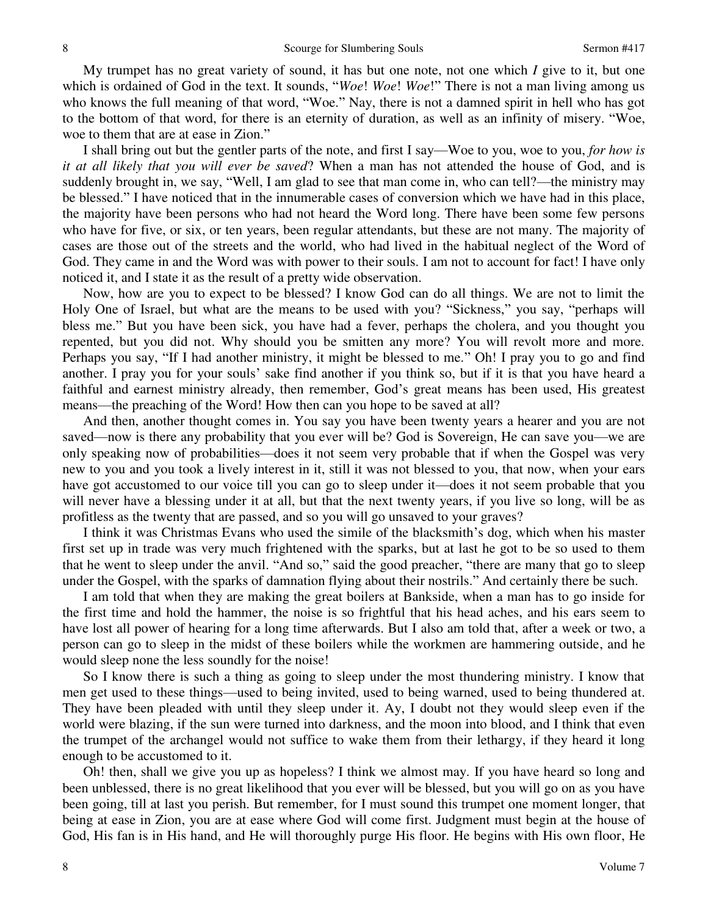My trumpet has no great variety of sound, it has but one note, not one which *I* give to it, but one which is ordained of God in the text. It sounds, "*Woe*! *Woe*! *Woe*!" There is not a man living among us who knows the full meaning of that word, "Woe." Nay, there is not a damned spirit in hell who has got to the bottom of that word, for there is an eternity of duration, as well as an infinity of misery. "Woe, woe to them that are at ease in Zion."

I shall bring out but the gentler parts of the note, and first I say—Woe to you, woe to you, *for how is it at all likely that you will ever be saved*? When a man has not attended the house of God, and is suddenly brought in, we say, "Well, I am glad to see that man come in, who can tell?—the ministry may be blessed." I have noticed that in the innumerable cases of conversion which we have had in this place, the majority have been persons who had not heard the Word long. There have been some few persons who have for five, or six, or ten years, been regular attendants, but these are not many. The majority of cases are those out of the streets and the world, who had lived in the habitual neglect of the Word of God. They came in and the Word was with power to their souls. I am not to account for fact! I have only noticed it, and I state it as the result of a pretty wide observation.

Now, how are you to expect to be blessed? I know God can do all things. We are not to limit the Holy One of Israel, but what are the means to be used with you? "Sickness," you say, "perhaps will bless me." But you have been sick, you have had a fever, perhaps the cholera, and you thought you repented, but you did not. Why should you be smitten any more? You will revolt more and more. Perhaps you say, "If I had another ministry, it might be blessed to me." Oh! I pray you to go and find another. I pray you for your souls' sake find another if you think so, but if it is that you have heard a faithful and earnest ministry already, then remember, God's great means has been used, His greatest means—the preaching of the Word! How then can you hope to be saved at all?

And then, another thought comes in. You say you have been twenty years a hearer and you are not saved—now is there any probability that you ever will be? God is Sovereign, He can save you—we are only speaking now of probabilities—does it not seem very probable that if when the Gospel was very new to you and you took a lively interest in it, still it was not blessed to you, that now, when your ears have got accustomed to our voice till you can go to sleep under it—does it not seem probable that you will never have a blessing under it at all, but that the next twenty years, if you live so long, will be as profitless as the twenty that are passed, and so you will go unsaved to your graves?

I think it was Christmas Evans who used the simile of the blacksmith's dog, which when his master first set up in trade was very much frightened with the sparks, but at last he got to be so used to them that he went to sleep under the anvil. "And so," said the good preacher, "there are many that go to sleep under the Gospel, with the sparks of damnation flying about their nostrils." And certainly there be such.

I am told that when they are making the great boilers at Bankside, when a man has to go inside for the first time and hold the hammer, the noise is so frightful that his head aches, and his ears seem to have lost all power of hearing for a long time afterwards. But I also am told that, after a week or two, a person can go to sleep in the midst of these boilers while the workmen are hammering outside, and he would sleep none the less soundly for the noise!

So I know there is such a thing as going to sleep under the most thundering ministry. I know that men get used to these things—used to being invited, used to being warned, used to being thundered at. They have been pleaded with until they sleep under it. Ay, I doubt not they would sleep even if the world were blazing, if the sun were turned into darkness, and the moon into blood, and I think that even the trumpet of the archangel would not suffice to wake them from their lethargy, if they heard it long enough to be accustomed to it.

Oh! then, shall we give you up as hopeless? I think we almost may. If you have heard so long and been unblessed, there is no great likelihood that you ever will be blessed, but you will go on as you have been going, till at last you perish. But remember, for I must sound this trumpet one moment longer, that being at ease in Zion, you are at ease where God will come first. Judgment must begin at the house of God, His fan is in His hand, and He will thoroughly purge His floor. He begins with His own floor, He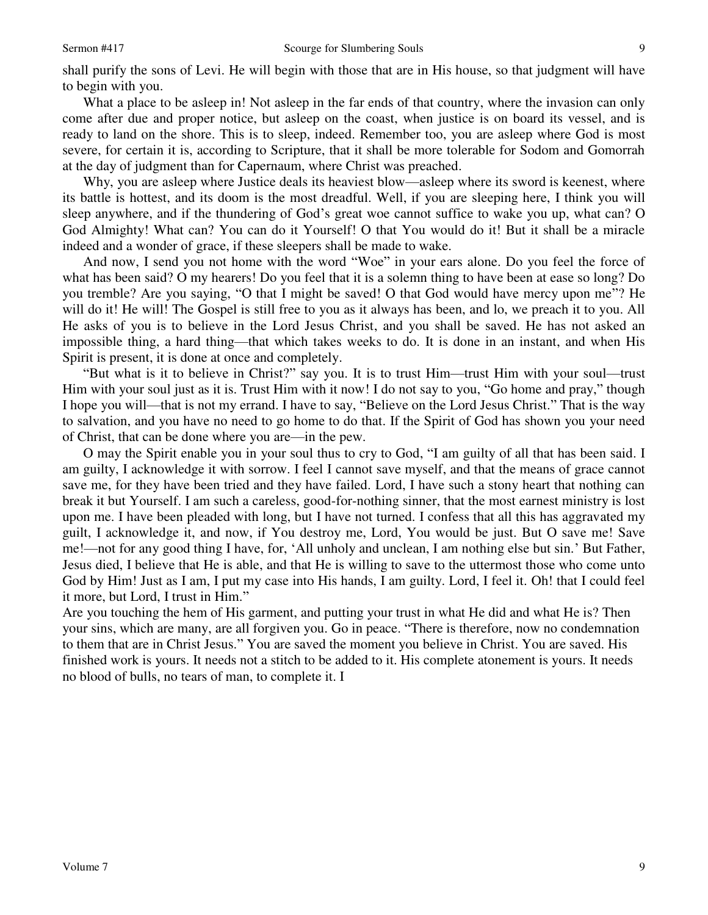shall purify the sons of Levi. He will begin with those that are in His house, so that judgment will have to begin with you.

What a place to be asleep in! Not asleep in the far ends of that country, where the invasion can only come after due and proper notice, but asleep on the coast, when justice is on board its vessel, and is ready to land on the shore. This is to sleep, indeed. Remember too, you are asleep where God is most severe, for certain it is, according to Scripture, that it shall be more tolerable for Sodom and Gomorrah at the day of judgment than for Capernaum, where Christ was preached.

Why, you are asleep where Justice deals its heaviest blow—asleep where its sword is keenest, where its battle is hottest, and its doom is the most dreadful. Well, if you are sleeping here, I think you will sleep anywhere, and if the thundering of God's great woe cannot suffice to wake you up, what can? O God Almighty! What can? You can do it Yourself! O that You would do it! But it shall be a miracle indeed and a wonder of grace, if these sleepers shall be made to wake.

And now, I send you not home with the word "Woe" in your ears alone. Do you feel the force of what has been said? O my hearers! Do you feel that it is a solemn thing to have been at ease so long? Do you tremble? Are you saying, "O that I might be saved! O that God would have mercy upon me"? He will do it! He will! The Gospel is still free to you as it always has been, and lo, we preach it to you. All He asks of you is to believe in the Lord Jesus Christ, and you shall be saved. He has not asked an impossible thing, a hard thing—that which takes weeks to do. It is done in an instant, and when His Spirit is present, it is done at once and completely.

"But what is it to believe in Christ?" say you. It is to trust Him—trust Him with your soul—trust Him with your soul just as it is. Trust Him with it now! I do not say to you, "Go home and pray," though I hope you will—that is not my errand. I have to say, "Believe on the Lord Jesus Christ." That is the way to salvation, and you have no need to go home to do that. If the Spirit of God has shown you your need of Christ, that can be done where you are—in the pew.

O may the Spirit enable you in your soul thus to cry to God, "I am guilty of all that has been said. I am guilty, I acknowledge it with sorrow. I feel I cannot save myself, and that the means of grace cannot save me, for they have been tried and they have failed. Lord, I have such a stony heart that nothing can break it but Yourself. I am such a careless, good-for-nothing sinner, that the most earnest ministry is lost upon me. I have been pleaded with long, but I have not turned. I confess that all this has aggravated my guilt, I acknowledge it, and now, if You destroy me, Lord, You would be just. But O save me! Save me!—not for any good thing I have, for, 'All unholy and unclean, I am nothing else but sin.' But Father, Jesus died, I believe that He is able, and that He is willing to save to the uttermost those who come unto God by Him! Just as I am, I put my case into His hands, I am guilty. Lord, I feel it. Oh! that I could feel it more, but Lord, I trust in Him."

Are you touching the hem of His garment, and putting your trust in what He did and what He is? Then your sins, which are many, are all forgiven you. Go in peace. "There is therefore, now no condemnation to them that are in Christ Jesus." You are saved the moment you believe in Christ. You are saved. His finished work is yours. It needs not a stitch to be added to it. His complete atonement is yours. It needs no blood of bulls, no tears of man, to complete it. I